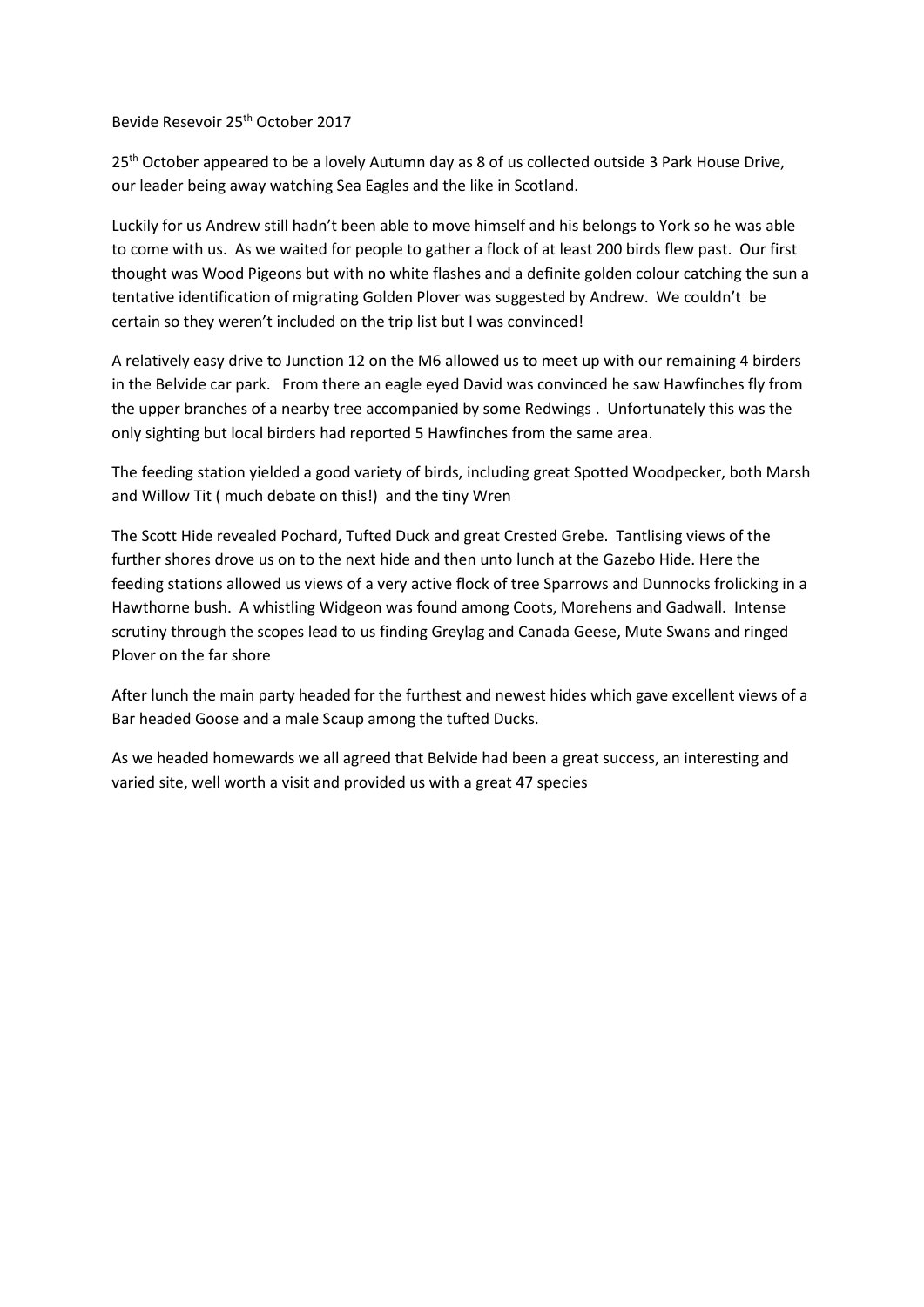Bevide Resevoir 25<sup>th</sup> October 2017

25<sup>th</sup> October appeared to be a lovely Autumn day as 8 of us collected outside 3 Park House Drive, our leader being away watching Sea Eagles and the like in Scotland.

Luckily for us Andrew still hadn't been able to move himself and his belongs to York so he was able to come with us. As we waited for people to gather a flock of at least 200 birds flew past. Our first thought was Wood Pigeons but with no white flashes and a definite golden colour catching the sun a tentative identification of migrating Golden Plover was suggested by Andrew. We couldn't be certain so they weren't included on the trip list but I was convinced!

A relatively easy drive to Junction 12 on the M6 allowed us to meet up with our remaining 4 birders in the Belvide car park. From there an eagle eyed David was convinced he saw Hawfinches fly from the upper branches of a nearby tree accompanied by some Redwings . Unfortunately this was the only sighting but local birders had reported 5 Hawfinches from the same area.

The feeding station yielded a good variety of birds, including great Spotted Woodpecker, both Marsh and Willow Tit ( much debate on this!) and the tiny Wren

The Scott Hide revealed Pochard, Tufted Duck and great Crested Grebe. Tantlising views of the further shores drove us on to the next hide and then unto lunch at the Gazebo Hide. Here the feeding stations allowed us views of a very active flock of tree Sparrows and Dunnocks frolicking in a Hawthorne bush. A whistling Widgeon was found among Coots, Morehens and Gadwall. Intense scrutiny through the scopes lead to us finding Greylag and Canada Geese, Mute Swans and ringed Plover on the far shore

After lunch the main party headed for the furthest and newest hides which gave excellent views of a Bar headed Goose and a male Scaup among the tufted Ducks.

As we headed homewards we all agreed that Belvide had been a great success, an interesting and varied site, well worth a visit and provided us with a great 47 species